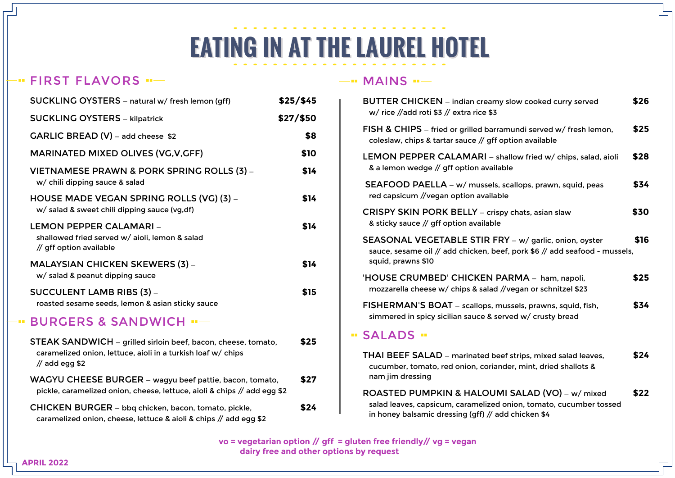# **EATING IN AT THE LAUREL HOTEL**

# FIRST FLAVORS

| SUCKLING OYSTERS - natural w/ fresh lemon (gff)                                                                                                   | \$25/ \$45 |
|---------------------------------------------------------------------------------------------------------------------------------------------------|------------|
| <b>SUCKLING OYSTERS - kilpatrick</b>                                                                                                              | \$27/\$50  |
| GARLIC BREAD (V) - add cheese \$2                                                                                                                 | \$8        |
| <b>MARINATED MIXED OLIVES (VG, V, GFF)</b>                                                                                                        | \$10       |
| VIETNAMESE PRAWN & PORK SPRING ROLLS (3) -<br>w/ chili dipping sauce & salad                                                                      | \$14       |
| HOUSE MADE VEGAN SPRING ROLLS (VG) (3) -<br>w/ salad & sweet chili dipping sauce (vg,df)                                                          | \$14       |
| LEMON PEPPER CALAMARI -<br>shallowed fried served w/ aioli, lemon & salad<br>// gff option available                                              | \$14       |
| <b>MALAYSIAN CHICKEN SKEWERS (3) –</b><br>w/ salad & peanut dipping sauce                                                                         | \$14       |
| SUCCULENT LAMB RIBS (3) -<br>roasted sesame seeds, lemon & asian sticky sauce                                                                     | \$15       |
| <b>BURGERS &amp; SANDWICH "-</b>                                                                                                                  |            |
| STEAK SANDWICH - grilled sirloin beef, bacon, cheese, tomato,<br>caramelized onion, lettuce, aioli in a turkish loaf w/ chips<br>$//$ add egg \$2 | \$25       |
| WAGYU CHEESE BURGER - wagyu beef pattie, bacon, tomato,<br>pickle, caramelized onion, cheese, lettuce, aioli & chips // add egg \$2               | \$27       |
| CHICKEN BURGER - bbq chicken, bacon, tomato, pickle,<br>caramelized onion, cheese, lettuce & aioli & chips // add egg \$2                         | \$24       |

#### $-MAINS$   $-$

| <b>BUTTER CHICKEN</b> – indian creamy slow cooked curry served<br>w/ rice //add roti \$3 // extra rice \$3                                                                   | \$26 |
|------------------------------------------------------------------------------------------------------------------------------------------------------------------------------|------|
| FISH & CHIPS - fried or grilled barramundi served w/ fresh lemon,<br>coleslaw, chips & tartar sauce // gff option available                                                  | \$25 |
| LEMON PEPPER CALAMARI - shallow fried w/ chips, salad, aioli<br>& a lemon wedge // gff option available                                                                      | \$28 |
| SEAFOOD PAELLA - w/ mussels, scallops, prawn, squid, peas<br>red capsicum //vegan option available                                                                           | \$34 |
| <b>CRISPY SKIN PORK BELLY</b> – crispy chats, asian slaw<br>& sticky sauce // gff option available                                                                           | \$30 |
| SEASONAL VEGETABLE STIR FRY - w/ garlic, onion, oyster<br>sauce, sesame oil // add chicken, beef, pork \$6 // add seafood - mussels,<br>squid, prawns \$10                   | \$16 |
| 'HOUSE CRUMBED' CHICKEN PARMA - ham, napoli,<br>mozzarella cheese w/ chips & salad //vegan or schnitzel \$23                                                                 | \$25 |
| FISHERMAN'S BOAT - scallops, mussels, prawns, squid, fish,<br>simmered in spicy sicilian sauce & served w/ crusty bread                                                      | \$34 |
| $\cdot$ SALADS $\cdot$ $-$                                                                                                                                                   |      |
| THAI BEEF SALAD - marinated beef strips, mixed salad leaves,<br>cucumber, tomato, red onion, coriander, mint, dried shallots &<br>nam jim dressing                           | \$24 |
| ROASTED PUMPKIN & HALOUMI SALAD (VO) - w/ mixed<br>salad leaves, capsicum, caramelized onion, tomato, cucumber tossed<br>in honey balsamic dressing (gff) // add chicken \$4 | \$22 |

 **vo = vegetarian option // gff = gluten free friendly// vg = vegan dairy free and other options by request**